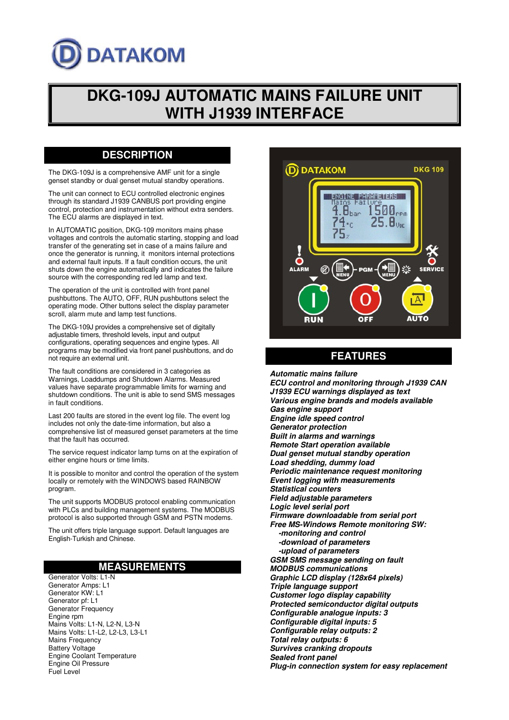# **DATAKOM**

## **DKG-109J AUTOMATIC MAINS FAILURE UNIT WITH J1939 INTERFACE**

## **DESCRIPTION**

The DKG-109J is a comprehensive AMF unit for a single genset standby or dual genset mutual standby operations.

The unit can connect to ECU controlled electronic engines through its standard J1939 CANBUS port providing engine control, protection and instrumentation without extra senders. The ECU alarms are displayed in text.

In AUTOMATIC position, DKG-109 monitors mains phase voltages and controls the automatic starting, stopping and load transfer of the generating set in case of a mains failure and once the generator is running, it monitors internal protections and external fault inputs. If a fault condition occurs, the unit shuts down the engine automatically and indicates the failure source with the corresponding red led lamp and text.

The operation of the unit is controlled with front panel pushbuttons. The AUTO, OFF, RUN pushbuttons select the operating mode. Other buttons select the display parameter scroll, alarm mute and lamp test functions.

The DKG-109J provides a comprehensive set of digitally adjustable timers, threshold levels, input and output configurations, operating sequences and engine types. All programs may be modified via front panel pushbuttons, and do not require an external unit.

The fault conditions are considered in 3 categories as Warnings, Loaddumps and Shutdown Alarms. Measured values have separate programmable limits for warning and shutdown conditions. The unit is able to send SMS messages in fault conditions.

Last 200 faults are stored in the event log file. The event log includes not only the date-time information, but also a comprehensive list of measured genset parameters at the time that the fault has occurred.

The service request indicator lamp turns on at the expiration of either engine hours or time limits.

It is possible to monitor and control the operation of the system locally or remotely with the WINDOWS based RAINBOW program.

The unit supports MODBUS protocol enabling communication with PLCs and building management systems. The MODBUS protocol is also supported through GSM and PSTN modems.

The unit offers triple language support. Default languages are English-Turkish and Chinese.

## **MEASUREMENTS**

Generator Volts: L1-N Generator Amps: L1 Generator KW: L1 Generator pf: L1 Generator Frequency Engine rpm Mains Volts: L1-N, L2-N, L3-N Mains Volts: L1-L2, L2-L3, L3-L1 Mains Frequency Battery Voltage Engine Coolant Temperature Engine Oil Pressure Fuel Level



## **FEATURES**

**Automatic mains failure ECU control and monitoring through J1939 CAN J1939 ECU warnings displayed as text Various engine brands and models available Gas engine support Engine idle speed control Generator protection Built in alarms and warnings Remote Start operation available Dual genset mutual standby operation Load shedding, dummy load Periodic maintenance request monitoring Event logging with measurements Statistical counters Field adjustable parameters Logic level serial port Firmware downloadable from serial port Free MS-Windows Remote monitoring SW: -monitoring and control -download of parameters -upload of parameters GSM SMS message sending on fault MODBUS communications Graphic LCD display (128x64 pixels) Triple language support Customer logo display capability Protected semiconductor digital outputs Configurable analogue inputs: 3 Configurable digital inputs: 5 Configurable relay outputs: 2 Total relay outputs: 6 Survives cranking dropouts Sealed front panel Plug-in connection system for easy replacement**